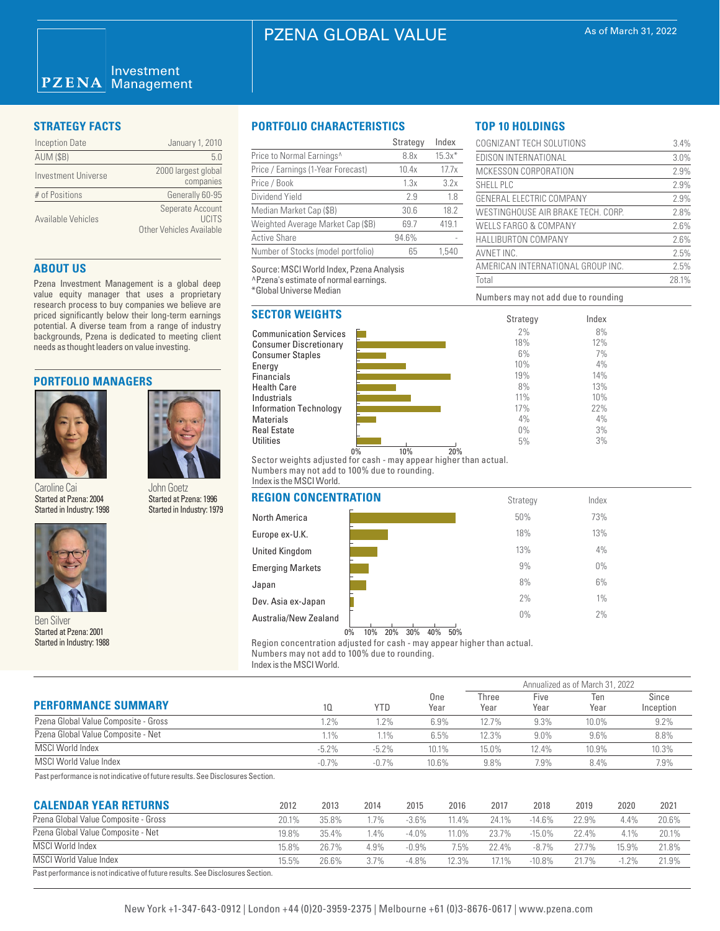# PZENA GLOBAL VALUE

#### Investment **PZENA** Management

| <b>Inception Date</b> | January 1, 2010                                        |
|-----------------------|--------------------------------------------------------|
| <b>AUM (\$B)</b>      | 50                                                     |
| Investment Universe   | 2000 largest global<br>companies                       |
| # of Positions        | Generally 60-95                                        |
| Available Vehicles    | Seperate Account<br>LICITS<br>Other Vehicles Available |

# **ABOUT US**

Pzena Investment Management is a global deep value equity manager that uses a proprietary research process to buy companies we believe are priced significantly below their long-term earnings potential. A diverse team from a range of industry backgrounds, Pzena is dedicated to meeting client needs as thought leaders on value investing.

### **PORTFOLIO MANAGERS**



Caroline Cai Started at Pzena: 2004 Started in Industry: 1998





Started at Pzena: 2001 Started in Industry: 1988

# **STRATEGY FACTS PORTFOLIO CHARACTERISTICS**

|                                    | Strategy | Index    |
|------------------------------------|----------|----------|
| Price to Normal Earnings^          | 8.8x     | $15.3x*$ |
| Price / Earnings (1-Year Forecast) | 10.4x    | 17.7x    |
| Price / Book                       | 1.3x     | 3.2x     |
| Dividend Yield                     | 2.9      | 1.8      |
| Median Market Cap (\$B)            | 30.6     | 18.2     |
| Weighted Average Market Cap (\$B)  | 69.7     | 419.1    |
| Active Share                       | 94.6%    |          |
| Number of Stocks (model portfolio) | 65       | 1.540    |

Source: MSCI World Index, Pzena Analysis ^Pzena's estimate of normal earnings. \*Global Universe Median

# **SECTOR WEIGHTS**

Communication Services Consumer Discretionary Consumer Staples Energy **Financials** Health Care Industrials Information Technology Materials Real Estate **Utilities** 



Numbers may not add due to rounding

COGNIZANT TECH SOLUTIONS 3.4% EDISON INTERNATIONAL 3.0% MCKESSON CORPORATION 2.9% SHELL PLC 2.9% GENERAL ELECTRIC COMPANY 2.9% WESTINGHOUSE AIR BRAKE TECH. CORP. 2.8% WELLS FARGO & COMPANY 2.6% HALLIBURTON COMPANY 2.6% AVNET INC. 2.5% AMERICAN INTERNATIONAL GROUP INC. 2.5% Total 28.1%

> Index 8% 12% 7% 4% 14% 13% 10% 22% 4% 3% 3%

**TOP 10 HOLDINGS**

0% 10% 20% Sector weights adjusted for cash - may appear higher than actual. Numbers may not add to 100% due to rounding. Index is the MSCI World.

| Garuillic Gal<br><b>JUILLUUGLA</b><br>Started at Pzena: 2004<br>Started at Pzena: 1996 |                           | <b>REGION CONCENTRATION</b> | Strategy | Index |  |
|----------------------------------------------------------------------------------------|---------------------------|-----------------------------|----------|-------|--|
| Started in Industry: 1998                                                              | Started in Industry: 1979 | North America               | 50%      | 73%   |  |
|                                                                                        |                           | Europe ex-U.K.              | 18%      | 13%   |  |
|                                                                                        | <b>United Kingdom</b>     | 13%                         | 4%       |       |  |
|                                                                                        |                           | <b>Emerging Markets</b>     | 9%       | $0\%$ |  |
|                                                                                        | Japan                     | 8%                          | 6%       |       |  |
|                                                                                        | Dev. Asia ex-Japan        | 2%                          | $1\%$    |       |  |
| <b>Ben Silver</b>                                                                      |                           | Australia/New Zealand       | $0\%$    | 2%    |  |
|                                                                                        |                           |                             |          |       |  |

### 0% 10% 20% 30% 40% 50%

Region concentration adjusted for cash - may appear higher than actual. Numbers may not add to 100% due to rounding.

Index is the MSCI World.

|                                      |          | <b>YTD</b> | One<br>Year | Annualized as of March 31, 2022 |              |             |                    |  |
|--------------------------------------|----------|------------|-------------|---------------------------------|--------------|-------------|--------------------|--|
| <b>PERFORMANCE SUMMARY</b>           | 10.      |            |             | Three<br>Year                   | Five<br>Year | Ten<br>Year | Since<br>Inception |  |
| Pzena Global Value Composite - Gross | 1.2%     | .2%        | 6.9%        | 12.7%                           | 9.3%         | 10.0%       | 9.2%               |  |
| Pzena Global Value Composite - Net   | $1.1\%$  | $1.1\%$    | 6.5%        | 12.3%                           | $9.0\%$      | $9.6\%$     | 8.8%               |  |
| MSCI World Index                     | $-5.2\%$ | $-5.2\%$   | 10.1%       | 15.0%                           | 12.4%        | 10.9%       | 10.3%              |  |
| <b>MSCI World Value Index</b>        | $-0.7%$  | $-0.7%$    | 10.6%       | 9.8%                            | 7.9%         | 8.4%        | 7.9%               |  |

Past performance is not indicative of future results. See Disclosures Section.

| <b>CALENDAR YEAR RETURNS</b>                                                   | 2012  | 2013  | 2014   | 2015     | 2016  | 2017  | 2018      | 2019  | 2020     | 2021  |
|--------------------------------------------------------------------------------|-------|-------|--------|----------|-------|-------|-----------|-------|----------|-------|
| Pzena Global Value Composite - Gross                                           | 20.1% | 35.8% | 7%     | $-3.6\%$ | 11.4% | 24 1% | $-14.6%$  | 22.9% | 4.4%     | 20.6% |
| Pzena Global Value Composite - Net                                             | 19.8% | 35.4% | $.4\%$ | $-4.0\%$ | 1.0%  | 23.7% | $-15.0%$  | 22.4% | 4.1%     | 20.1% |
| MSCI World Index                                                               | 15.8% | 26.7% | 4.9%   | $-0.9\%$ | 7.5%  | 22.4% | $-8.7%$   | 277%  | 15.9%    | 21.8% |
| <b>MSCI World Value Index</b>                                                  | 15.5% | 26.6% | 3.7%   | $-4.8\%$ | 12.3% | 7.1%  | $-10.8\%$ | 217%  | $-1.2\%$ | 21.9% |
| Past performance is not indicative of future results. See Disclosures Section. |       |       |        |          |       |       |           |       |          |       |

# New York +1-347-643-0912 | London +44 (0)20-3959-2375 | Melbourne +61 (0)3-8676-0617 | www.pzena.com